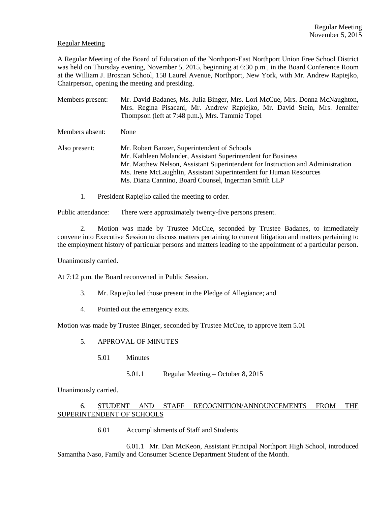### Regular Meeting

A Regular Meeting of the Board of Education of the Northport-East Northport Union Free School District was held on Thursday evening, November 5, 2015, beginning at 6:30 p.m., in the Board Conference Room at the William J. Brosnan School, 158 Laurel Avenue, Northport, New York, with Mr. Andrew Rapiejko, Chairperson, opening the meeting and presiding.

- Members present: Mr. David Badanes, Ms. Julia Binger, Mrs. Lori McCue, Mrs. Donna McNaughton, Mrs. Regina Pisacani, Mr. Andrew Rapiejko, Mr. David Stein, Mrs. Jennifer Thompson (left at 7:48 p.m.), Mrs. Tammie Topel Members absent: None Also present: Mr. Robert Banzer, Superintendent of Schools Mr. Kathleen Molander, Assistant Superintendent for Business Mr. Matthew Nelson, Assistant Superintendent for Instruction and Administration Ms. Irene McLaughlin, Assistant Superintendent for Human Resources Ms. Diana Cannino, Board Counsel, Ingerman Smith LLP
	- 1. President Rapiejko called the meeting to order.

Public attendance: There were approximately twenty-five persons present.

2. Motion was made by Trustee McCue, seconded by Trustee Badanes, to immediately convene into Executive Session to discuss matters pertaining to current litigation and matters pertaining to the employment history of particular persons and matters leading to the appointment of a particular person.

Unanimously carried.

At 7:12 p.m. the Board reconvened in Public Session.

- 3. Mr. Rapiejko led those present in the Pledge of Allegiance; and
- 4. Pointed out the emergency exits.

Motion was made by Trustee Binger, seconded by Trustee McCue, to approve item 5.01

# 5. APPROVAL OF MINUTES

- 5.01 Minutes
	- 5.01.1 Regular Meeting October 8, 2015

Unanimously carried.

# 6. STUDENT AND STAFF RECOGNITION/ANNOUNCEMENTS FROM THE SUPERINTENDENT OF SCHOOLS

6.01 Accomplishments of Staff and Students

 6.01.1 Mr. Dan McKeon, Assistant Principal Northport High School, introduced Samantha Naso, Family and Consumer Science Department Student of the Month.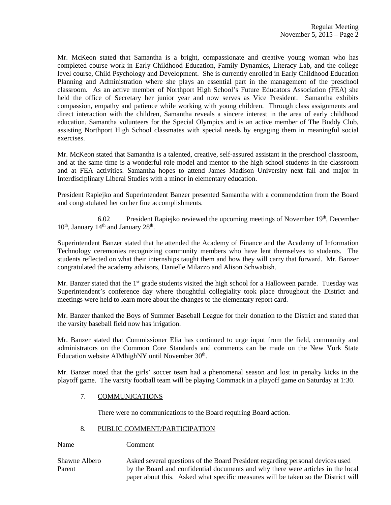Mr. McKeon stated that Samantha is a bright, compassionate and creative young woman who has completed course work in Early Childhood Education, Family Dynamics, Literacy Lab, and the college level course, Child Psychology and Development. She is currently enrolled in Early Childhood Education Planning and Administration where she plays an essential part in the management of the preschool classroom. As an active member of Northport High School's Future Educators Association (FEA) she held the office of Secretary her junior year and now serves as Vice President. Samantha exhibits compassion, empathy and patience while working with young children. Through class assignments and direct interaction with the children, Samantha reveals a sincere interest in the area of early childhood education. Samantha volunteers for the Special Olympics and is an active member of The Buddy Club, assisting Northport High School classmates with special needs by engaging them in meaningful social exercises.

Mr. McKeon stated that Samantha is a talented, creative, self-assured assistant in the preschool classroom, and at the same time is a wonderful role model and mentor to the high school students in the classroom and at FEA activities. Samantha hopes to attend James Madison University next fall and major in Interdisciplinary Liberal Studies with a minor in elementary education.

President Rapiejko and Superintendent Banzer presented Samantha with a commendation from the Board and congratulated her on her fine accomplishments.

6.02 President Rapiejko reviewed the upcoming meetings of November  $19<sup>th</sup>$ , December  $10<sup>th</sup>$ , January  $14<sup>th</sup>$  and January  $28<sup>th</sup>$ .

Superintendent Banzer stated that he attended the Academy of Finance and the Academy of Information Technology ceremonies recognizing community members who have lent themselves to students. The students reflected on what their internships taught them and how they will carry that forward. Mr. Banzer congratulated the academy advisors, Danielle Milazzo and Alison Schwabish.

Mr. Banzer stated that the  $1<sup>st</sup>$  grade students visited the high school for a Halloween parade. Tuesday was Superintendent's conference day where thoughtful collegiality took place throughout the District and meetings were held to learn more about the changes to the elementary report card.

Mr. Banzer thanked the Boys of Summer Baseball League for their donation to the District and stated that the varsity baseball field now has irrigation.

Mr. Banzer stated that Commissioner Elia has continued to urge input from the field, community and administrators on the Common Core Standards and comments can be made on the New York State Education website AIMhighNY until November  $30<sup>th</sup>$ .

Mr. Banzer noted that the girls' soccer team had a phenomenal season and lost in penalty kicks in the playoff game. The varsity football team will be playing Commack in a playoff game on Saturday at 1:30.

# 7. COMMUNICATIONS

There were no communications to the Board requiring Board action.

# 8. PUBLIC COMMENT/PARTICIPATION

Name Comment

Shawne Albero Asked several questions of the Board President regarding personal devices used Parent by the Board and confidential documents and why there were articles in the local paper about this. Asked what specific measures will be taken so the District will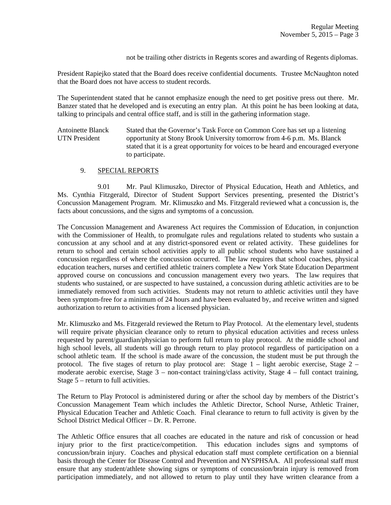not be trailing other districts in Regents scores and awarding of Regents diplomas.

President Rapiejko stated that the Board does receive confidential documents. Trustee McNaughton noted that the Board does not have access to student records.

The Superintendent stated that he cannot emphasize enough the need to get positive press out there. Mr. Banzer stated that he developed and is executing an entry plan. At this point he has been looking at data, talking to principals and central office staff, and is still in the gathering information stage.

Antoinette Blanck Stated that the Governor's Task Force on Common Core has set up a listening UTN President opportunity at Stony Brook University tomorrow from 4-6 p.m. Ms. Blanck stated that it is a great opportunity for voices to be heard and encouraged everyone to participate.

# 9. SPECIAL REPORTS

 9.01 Mr. Paul Klimuszko, Director of Physical Education, Heath and Athletics, and Ms. Cynthia Fitzgerald, Director of Student Support Services presenting, presented the District's Concussion Management Program. Mr. Klimuszko and Ms. Fitzgerald reviewed what a concussion is, the facts about concussions, and the signs and symptoms of a concussion.

The Concussion Management and Awareness Act requires the Commission of Education, in conjunction with the Commissioner of Health, to promulgate rules and regulations related to students who sustain a concussion at any school and at any district-sponsored event or related activity. These guidelines for return to school and certain school activities apply to all public school students who have sustained a concussion regardless of where the concussion occurred. The law requires that school coaches, physical education teachers, nurses and certified athletic trainers complete a New York State Education Department approved course on concussions and concussion management every two years. The law requires that students who sustained, or are suspected to have sustained, a concussion during athletic activities are to be immediately removed from such activities. Students may not return to athletic activities until they have been symptom-free for a minimum of 24 hours and have been evaluated by, and receive written and signed authorization to return to activities from a licensed physician.

Mr. Klimuszko and Ms. Fitzgerald reviewed the Return to Play Protocol. At the elementary level, students will require private physician clearance only to return to physical education activities and recess unless requested by parent/guardian/physician to perform full return to play protocol. At the middle school and high school levels, all students will go through return to play protocol regardless of participation on a school athletic team. If the school is made aware of the concussion, the student must be put through the protocol. The five stages of return to play protocol are: Stage 1 – light aerobic exercise, Stage 2 – moderate aerobic exercise, Stage 3 – non-contact training/class activity, Stage 4 – full contact training, Stage 5 – return to full activities.

The Return to Play Protocol is administered during or after the school day by members of the District's Concussion Management Team which includes the Athletic Director, School Nurse, Athletic Trainer, Physical Education Teacher and Athletic Coach. Final clearance to return to full activity is given by the School District Medical Officer – Dr. R. Perrone.

The Athletic Office ensures that all coaches are educated in the nature and risk of concussion or head injury prior to the first practice/competition. This education includes signs and symptoms of concussion/brain injury. Coaches and physical education staff must complete certification on a biennial basis through the Center for Disease Control and Prevention and NYSPHSAA. All professional staff must ensure that any student/athlete showing signs or symptoms of concussion/brain injury is removed from participation immediately, and not allowed to return to play until they have written clearance from a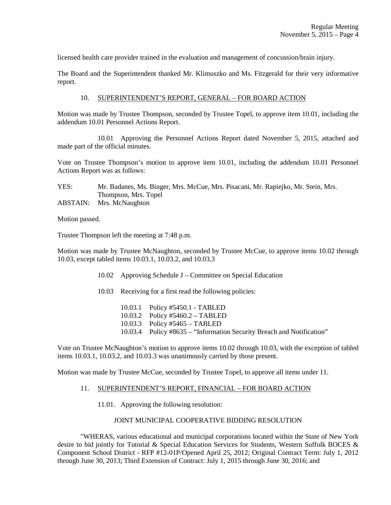licensed health care provider trained in the evaluation and management of concussion/brain injury.

The Board and the Superintendent thanked Mr. Klimuszko and Ms. Fitzgerald for their very informative report.

### 10. SUPERINTENDENT'S REPORT, GENERAL – FOR BOARD ACTION

Motion was made by Trustee Thompson, seconded by Trustee Topel, to approve item 10.01, including the addendum 10.01 Personnel Actions Report.

 10.01 Approving the Personnel Actions Report dated November 5, 2015, attached and made part of the official minutes.

Vote on Trustee Thompson's motion to approve item 10.01, including the addendum 10.01 Personnel Actions Report was as follows:

### YES: Mr. Badanes, Ms. Binger, Mrs. McCue, Mrs. Pisacani, Mr. Rapiejko, Mr. Stein, Mrs. Thompson, Mrs. Topel ABSTAIN: Mrs. McNaughton

Motion passed.

Trustee Thompson left the meeting at 7:48 p.m.

Motion was made by Trustee McNaughton, seconded by Trustee McCue, to approve items 10.02 through 10.03, except tabled items 10.03.1, 10.03.2, and 10.03.3

- 10.02 Approving Schedule J Committee on Special Education
- 10.03 Receiving for a first read the following policies:
	- 10.03.1 Policy #5450.1 TABLED 10.03.2 Policy #5460.2 – TABLED 10.03.3 Policy #5465 – TABLED 10.03.4 Policy #8635 – "Information Security Breach and Notification"

Vote on Trustee McNaughton's motion to approve items 10.02 through 10.03, with the exception of tabled items 10.03.1, 10.03.2, and 10.03.3 was unanimously carried by those present.

Motion was made by Trustee McCue, seconded by Trustee Topel, to approve all items under 11.

#### 11. SUPERINTENDENT'S REPORT, FINANCIAL – FOR BOARD ACTION

11.01. Approving the following resolution:

#### JOINT MUNICIPAL COOPERATIVE BIDDING RESOLUTION

 "WHERAS, various educational and municipal corporations located within the State of New York desire to bid jointly for Tutorial & Special Education Services for Students, Western Suffolk BOCES & Component School District - RFP #12-01P/Opened April 25, 2012; Original Contract Term: July 1, 2012 through June 30, 2013; Third Extension of Contract: July 1, 2015 through June 30, 2016; and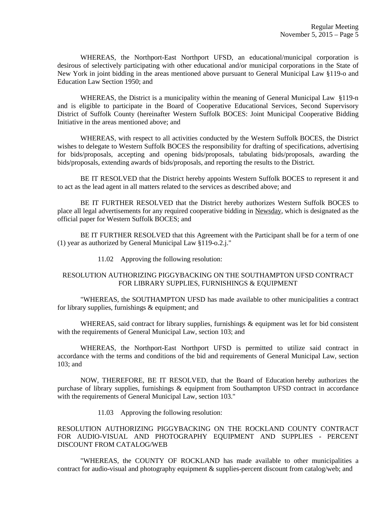WHEREAS, the Northport-East Northport UFSD, an educational/municipal corporation is desirous of selectively participating with other educational and/or municipal corporations in the State of New York in joint bidding in the areas mentioned above pursuant to General Municipal Law §119-o and Education Law Section 1950; and

WHEREAS, the District is a municipality within the meaning of General Municipal Law §119-n and is eligible to participate in the Board of Cooperative Educational Services, Second Supervisory District of Suffolk County (hereinafter Western Suffolk BOCES: Joint Municipal Cooperative Bidding Initiative in the areas mentioned above; and

 WHEREAS, with respect to all activities conducted by the Western Suffolk BOCES, the District wishes to delegate to Western Suffolk BOCES the responsibility for drafting of specifications, advertising for bids/proposals, accepting and opening bids/proposals, tabulating bids/proposals, awarding the bids/proposals, extending awards of bids/proposals, and reporting the results to the District.

 BE IT RESOLVED that the District hereby appoints Western Suffolk BOCES to represent it and to act as the lead agent in all matters related to the services as described above; and

 BE IT FURTHER RESOLVED that the District hereby authorizes Western Suffolk BOCES to place all legal advertisements for any required cooperative bidding in Newsday, which is designated as the official paper for Western Suffolk BOCES; and

 BE IT FURTHER RESOLVED that this Agreement with the Participant shall be for a term of one (1) year as authorized by General Municipal Law §119-o.2.j."

11.02 Approving the following resolution:

# RESOLUTION AUTHORIZING PIGGYBACKING ON THE SOUTHAMPTON UFSD CONTRACT FOR LIBRARY SUPPLIES, FURNISHINGS & EQUIPMENT

 "WHEREAS, the SOUTHAMPTON UFSD has made available to other municipalities a contract for library supplies, furnishings & equipment; and

WHEREAS, said contract for library supplies, furnishings & equipment was let for bid consistent with the requirements of General Municipal Law, section 103; and

 WHEREAS, the Northport-East Northport UFSD is permitted to utilize said contract in accordance with the terms and conditions of the bid and requirements of General Municipal Law, section 103; and

 NOW, THEREFORE, BE IT RESOLVED, that the Board of Education hereby authorizes the purchase of library supplies, furnishings & equipment from Southampton UFSD contract in accordance with the requirements of General Municipal Law, section 103."

11.03 Approving the following resolution:

RESOLUTION AUTHORIZING PIGGYBACKING ON THE ROCKLAND COUNTY CONTRACT FOR AUDIO-VISUAL AND PHOTOGRAPHY EQUIPMENT AND SUPPLIES - PERCENT DISCOUNT FROM CATALOG/WEB

 "WHEREAS, the COUNTY OF ROCKLAND has made available to other municipalities a contract for audio-visual and photography equipment & supplies-percent discount from catalog/web; and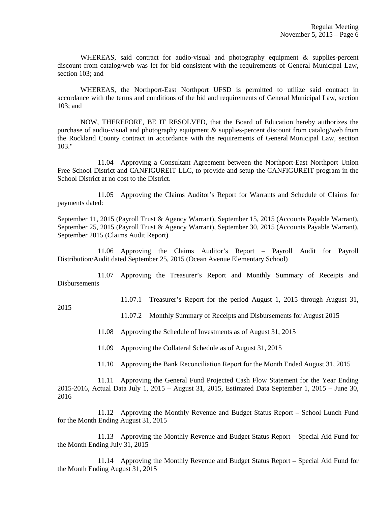WHEREAS, said contract for audio-visual and photography equipment & supplies-percent discount from catalog/web was let for bid consistent with the requirements of General Municipal Law, section 103; and

 WHEREAS, the Northport-East Northport UFSD is permitted to utilize said contract in accordance with the terms and conditions of the bid and requirements of General Municipal Law, section 103; and

 NOW, THEREFORE, BE IT RESOLVED, that the Board of Education hereby authorizes the purchase of audio-visual and photography equipment & supplies-percent discount from catalog/web from the Rockland County contract in accordance with the requirements of General Municipal Law, section 103."

 11.04 Approving a Consultant Agreement between the Northport-East Northport Union Free School District and CANFIGUREIT LLC, to provide and setup the CANFIGUREIT program in the School District at no cost to the District.

 11.05 Approving the Claims Auditor's Report for Warrants and Schedule of Claims for payments dated:

September 11, 2015 (Payroll Trust & Agency Warrant), September 15, 2015 (Accounts Payable Warrant), September 25, 2015 (Payroll Trust & Agency Warrant), September 30, 2015 (Accounts Payable Warrant), September 2015 (Claims Audit Report)

 11.06 Approving the Claims Auditor's Report – Payroll Audit for Payroll Distribution/Audit dated September 25, 2015 (Ocean Avenue Elementary School)

 11.07 Approving the Treasurer's Report and Monthly Summary of Receipts and Disbursements

11.07.1 Treasurer's Report for the period August 1, 2015 through August 31,

2015

11.07.2 Monthly Summary of Receipts and Disbursements for August 2015

11.08 Approving the Schedule of Investments as of August 31, 2015

11.09 Approving the Collateral Schedule as of August 31, 2015

11.10 Approving the Bank Reconciliation Report for the Month Ended August 31, 2015

 11.11 Approving the General Fund Projected Cash Flow Statement for the Year Ending 2015-2016, Actual Data July 1, 2015 – August 31, 2015, Estimated Data September 1, 2015 – June 30, 2016

 11.12 Approving the Monthly Revenue and Budget Status Report – School Lunch Fund for the Month Ending August 31, 2015

 11.13 Approving the Monthly Revenue and Budget Status Report – Special Aid Fund for the Month Ending July 31, 2015

 11.14 Approving the Monthly Revenue and Budget Status Report – Special Aid Fund for the Month Ending August 31, 2015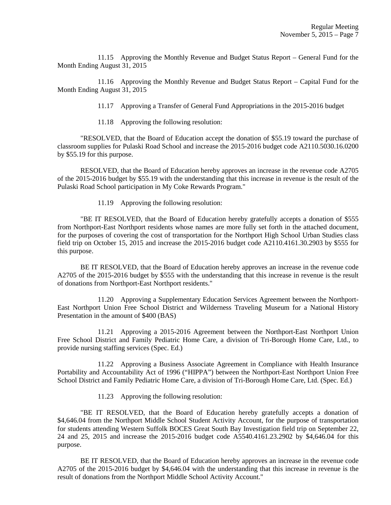11.15 Approving the Monthly Revenue and Budget Status Report – General Fund for the Month Ending August 31, 2015

 11.16 Approving the Monthly Revenue and Budget Status Report – Capital Fund for the Month Ending August 31, 2015

11.17 Approving a Transfer of General Fund Appropriations in the 2015-2016 budget

11.18 Approving the following resolution:

 "RESOLVED, that the Board of Education accept the donation of \$55.19 toward the purchase of classroom supplies for Pulaski Road School and increase the 2015-2016 budget code A2110.5030.16.0200 by \$55.19 for this purpose.

 RESOLVED, that the Board of Education hereby approves an increase in the revenue code A2705 of the 2015-2016 budget by \$55.19 with the understanding that this increase in revenue is the result of the Pulaski Road School participation in My Coke Rewards Program."

11.19 Approving the following resolution:

 "BE IT RESOLVED, that the Board of Education hereby gratefully accepts a donation of \$555 from Northport-East Northport residents whose names are more fully set forth in the attached document, for the purposes of covering the cost of transportation for the Northport High School Urban Studies class field trip on October 15, 2015 and increase the 2015-2016 budget code A2110.4161.30.2903 by \$555 for this purpose.

 BE IT RESOLVED, that the Board of Education hereby approves an increase in the revenue code A2705 of the 2015-2016 budget by \$555 with the understanding that this increase in revenue is the result of donations from Northport-East Northport residents."

 11.20 Approving a Supplementary Education Services Agreement between the Northport-East Northport Union Free School District and Wilderness Traveling Museum for a National History Presentation in the amount of \$400 (BAS)

 11.21 Approving a 2015-2016 Agreement between the Northport-East Northport Union Free School District and Family Pediatric Home Care, a division of Tri-Borough Home Care, Ltd., to provide nursing staffing services (Spec. Ed.)

 11.22 Approving a Business Associate Agreement in Compliance with Health Insurance Portability and Accountability Act of 1996 ("HIPPA") between the Northport-East Northport Union Free School District and Family Pediatric Home Care, a division of Tri-Borough Home Care, Ltd. (Spec. Ed.)

11.23 Approving the following resolution:

 "BE IT RESOLVED, that the Board of Education hereby gratefully accepts a donation of \$4,646.04 from the Northport Middle School Student Activity Account, for the purpose of transportation for students attending Western Suffolk BOCES Great South Bay Investigation field trip on September 22, 24 and 25, 2015 and increase the 2015-2016 budget code A5540.4161.23.2902 by \$4,646.04 for this purpose.

 BE IT RESOLVED, that the Board of Education hereby approves an increase in the revenue code A2705 of the 2015-2016 budget by \$4,646.04 with the understanding that this increase in revenue is the result of donations from the Northport Middle School Activity Account."